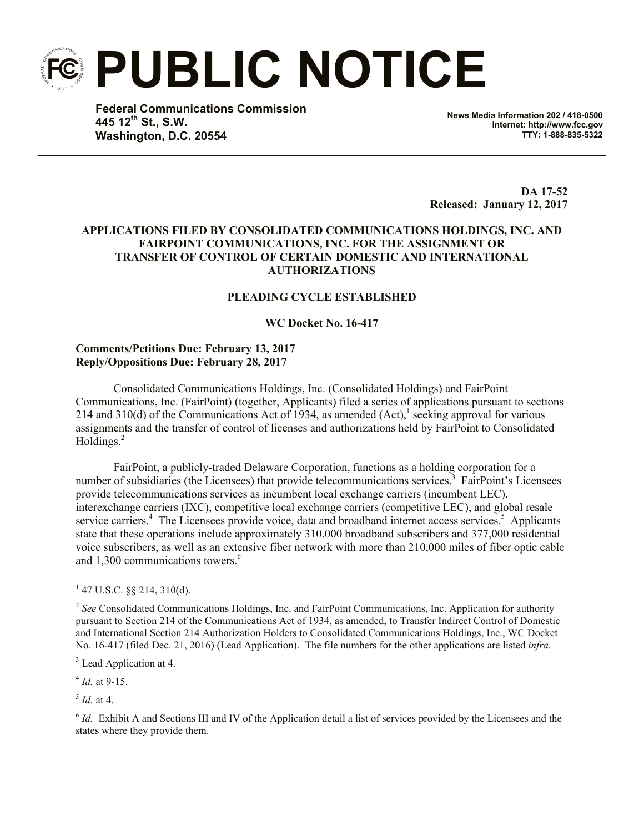**PUBLIC NOTICE**

**Federal Communications Commission 445 12th St., S.W. Washington, D.C. 20554**

**News Media Information 202 / 418-0500 Internet: http://www.fcc.gov TTY: 1-888-835-5322**

**DA 17-52 Released: January 12, 2017**

# **APPLICATIONS FILED BY CONSOLIDATED COMMUNICATIONS HOLDINGS, INC. AND FAIRPOINT COMMUNICATIONS, INC. FOR THE ASSIGNMENT OR TRANSFER OF CONTROL OF CERTAIN DOMESTIC AND INTERNATIONAL AUTHORIZATIONS**

### **PLEADING CYCLE ESTABLISHED**

### **WC Docket No. 16-417**

### **Comments/Petitions Due: February 13, 2017 Reply/Oppositions Due: February 28, 2017**

Consolidated Communications Holdings, Inc. (Consolidated Holdings) and FairPoint Communications, Inc. (FairPoint) (together, Applicants) filed a series of applications pursuant to sections 214 and 310(d) of the Communications Act of 1934, as amended  $(Act)$ , seeking approval for various assignments and the transfer of control of licenses and authorizations held by FairPoint to Consolidated Holdings. 2

FairPoint, a publicly-traded Delaware Corporation, functions as a holding corporation for a number of subsidiaries (the Licensees) that provide telecommunications services.<sup>3</sup> FairPoint's Licensees provide telecommunications services as incumbent local exchange carriers (incumbent LEC), interexchange carriers (IXC), competitive local exchange carriers (competitive LEC), and global resale service carriers.<sup>4</sup> The Licensees provide voice, data and broadband internet access services.<sup>5</sup> Applicants state that these operations include approximately 310,000 broadband subscribers and 377,000 residential voice subscribers, as well as an extensive fiber network with more than 210,000 miles of fiber optic cable and 1,300 communications towers.<sup>6</sup>

5 *Id.* at 4.

l

 $1$  47 U.S.C. §§ 214, 310(d).

<sup>&</sup>lt;sup>2</sup> See Consolidated Communications Holdings, Inc. and FairPoint Communications, Inc. Application for authority pursuant to Section 214 of the Communications Act of 1934, as amended, to Transfer Indirect Control of Domestic and International Section 214 Authorization Holders to Consolidated Communications Holdings, Inc., WC Docket No. 16-417 (filed Dec. 21, 2016) (Lead Application). The file numbers for the other applications are listed *infra.*

 $3$  Lead Application at 4.

<sup>4</sup> *Id.* at 9-15.

<sup>&</sup>lt;sup>6</sup> *Id.* Exhibit A and Sections III and IV of the Application detail a list of services provided by the Licensees and the states where they provide them.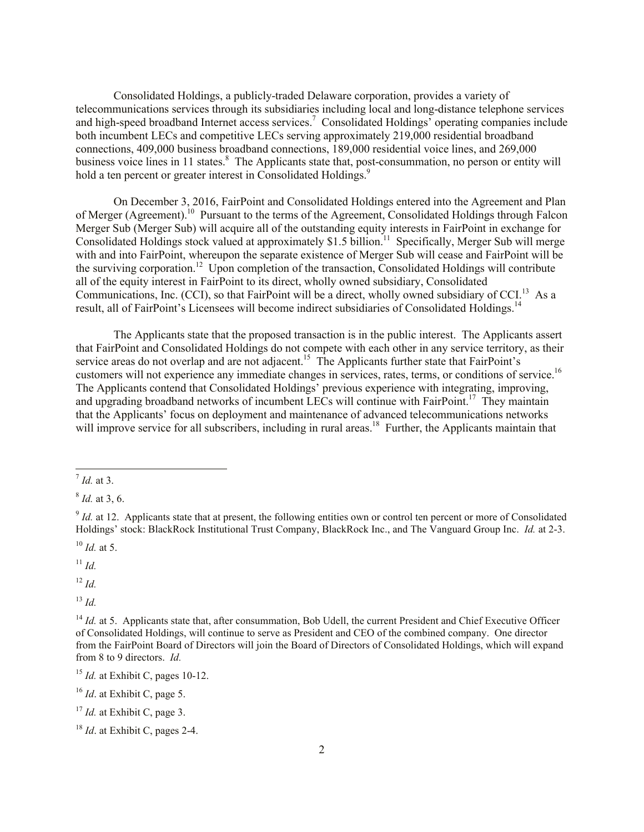Consolidated Holdings, a publicly-traded Delaware corporation, provides a variety of telecommunications services through its subsidiaries including local and long-distance telephone services and high-speed broadband Internet access services. <sup>7</sup> Consolidated Holdings' operating companies include both incumbent LECs and competitive LECs serving approximately 219,000 residential broadband connections, 409,000 business broadband connections, 189,000 residential voice lines, and 269,000 business voice lines in 11 states.<sup>8</sup> The Applicants state that, post-consummation, no person or entity will hold a ten percent or greater interest in Consolidated Holdings.<sup>9</sup>

On December 3, 2016, FairPoint and Consolidated Holdings entered into the Agreement and Plan of Merger (Agreement).<sup>10</sup> Pursuant to the terms of the Agreement, Consolidated Holdings through Falcon Merger Sub (Merger Sub) will acquire all of the outstanding equity interests in FairPoint in exchange for Consolidated Holdings stock valued at approximately \$1.5 billion.<sup>11</sup> Specifically, Merger Sub will merge with and into FairPoint, whereupon the separate existence of Merger Sub will cease and FairPoint will be the surviving corporation.<sup>12</sup> Upon completion of the transaction, Consolidated Holdings will contribute all of the equity interest in FairPoint to its direct, wholly owned subsidiary, Consolidated Communications, Inc. (CCI), so that FairPoint will be a direct, wholly owned subsidiary of CCI.<sup>13</sup> As a result, all of FairPoint's Licensees will become indirect subsidiaries of Consolidated Holdings.<sup>14</sup>

The Applicants state that the proposed transaction is in the public interest. The Applicants assert that FairPoint and Consolidated Holdings do not compete with each other in any service territory, as their service areas do not overlap and are not adjacent.<sup>15</sup> The Applicants further state that FairPoint's customers will not experience any immediate changes in services, rates, terms, or conditions of service.<sup>16</sup> The Applicants contend that Consolidated Holdings' previous experience with integrating, improving, and upgrading broadband networks of incumbent LECs will continue with FairPoint.<sup>17</sup> They maintain that the Applicants' focus on deployment and maintenance of advanced telecommunications networks will improve service for all subscribers, including in rural areas.<sup>18</sup> Further, the Applicants maintain that

l

 $^{10}$  *Id.* at 5.

<sup>11</sup> *Id.*

 $12$  *Id.* 

<sup>13</sup> *Id.*

<sup>7</sup> *Id.* at 3.

<sup>8</sup> *Id.* at 3, 6.

 $9$  *Id.* at 12. Applicants state that at present, the following entities own or control ten percent or more of Consolidated Holdings' stock: BlackRock Institutional Trust Company, BlackRock Inc., and The Vanguard Group Inc. *Id.* at 2-3.

<sup>&</sup>lt;sup>14</sup> *Id.* at 5. Applicants state that, after consummation, Bob Udell, the current President and Chief Executive Officer of Consolidated Holdings, will continue to serve as President and CEO of the combined company. One director from the FairPoint Board of Directors will join the Board of Directors of Consolidated Holdings, which will expand from 8 to 9 directors. *Id.*

<sup>15</sup> *Id.* at Exhibit C, pages 10-12.

<sup>16</sup> *Id*. at Exhibit C, page 5.

<sup>&</sup>lt;sup>17</sup> *Id.* at Exhibit C, page 3.

<sup>18</sup> *Id*. at Exhibit C, pages 2-4.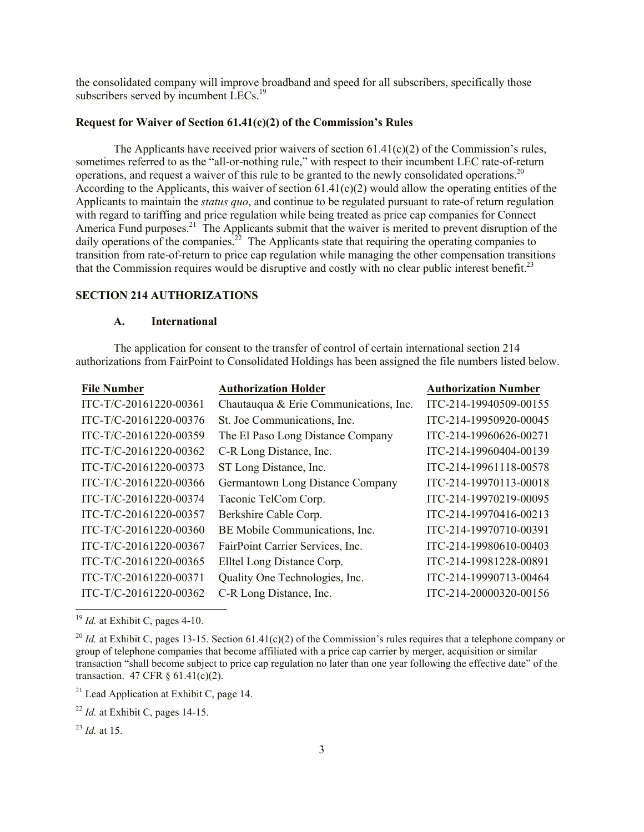the consolidated company will improve broadband and speed for all subscribers, specifically those subscribers served by incumbent  $\text{LECs.}^{19}$ 

### **Request for Waiver of Section 61.41(c)(2) of the Commission's Rules**

The Applicants have received prior waivers of section  $61.41(c)(2)$  of the Commission's rules, sometimes referred to as the "all-or-nothing rule," with respect to their incumbent LEC rate-of-return operations, and request a waiver of this rule to be granted to the newly consolidated operations.<sup>20</sup> According to the Applicants, this waiver of section  $61.41(c)(2)$  would allow the operating entities of the Applicants to maintain the *status quo*, and continue to be regulated pursuant to rate-of return regulation with regard to tariffing and price regulation while being treated as price cap companies for Connect America Fund purposes.<sup>21</sup> The Applicants submit that the waiver is merited to prevent disruption of the daily operations of the companies.<sup>22</sup> The Applicants state that requiring the operating companies to transition from rate-of-return to price cap regulation while managing the other compensation transitions that the Commission requires would be disruptive and costly with no clear public interest benefit.<sup>23</sup>

### **SECTION 214 AUTHORIZATIONS**

#### **A. International**

The application for consent to the transfer of control of certain international section 214 authorizations from FairPoint to Consolidated Holdings has been assigned the file numbers listed below.

| <b>File Number</b>     | <b>Authorization Holder</b>            | <b>Authorization Number</b> |
|------------------------|----------------------------------------|-----------------------------|
| ITC-T/C-20161220-00361 | Chautauqua & Erie Communications, Inc. | ITC-214-19940509-00155      |
| ITC-T/C-20161220-00376 | St. Joe Communications, Inc.           | ITC-214-19950920-00045      |
| ITC-T/C-20161220-00359 | The El Paso Long Distance Company      | ITC-214-19960626-00271      |
| ITC-T/C-20161220-00362 | C-R Long Distance, Inc.                | ITC-214-19960404-00139      |
| ITC-T/C-20161220-00373 | ST Long Distance, Inc.                 | ITC-214-19961118-00578      |
| ITC-T/C-20161220-00366 | Germantown Long Distance Company       | ITC-214-19970113-00018      |
| ITC-T/C-20161220-00374 | Taconic TelCom Corp.                   | ITC-214-19970219-00095      |
| ITC-T/C-20161220-00357 | Berkshire Cable Corp.                  | ITC-214-19970416-00213      |
| ITC-T/C-20161220-00360 | BE Mobile Communications, Inc.         | ITC-214-19970710-00391      |
| ITC-T/C-20161220-00367 | FairPoint Carrier Services, Inc.       | ITC-214-19980610-00403      |
| ITC-T/C-20161220-00365 | Elltel Long Distance Corp.             | ITC-214-19981228-00891      |
| ITC-T/C-20161220-00371 | Quality One Technologies, Inc.         | ITC-214-19990713-00464      |
| ITC-T/C-20161220-00362 | C-R Long Distance, Inc.                | ITC-214-20000320-00156      |

<sup>19</sup> *Id.* at Exhibit C, pages 4-10.

<sup>23</sup> *Id.* at 15.

l

<sup>&</sup>lt;sup>20</sup> *Id.* at Exhibit C, pages 13-15. Section 61.41(c)(2) of the Commission's rules requires that a telephone company or group of telephone companies that become affiliated with a price cap carrier by merger, acquisition or similar transaction "shall become subject to price cap regulation no later than one year following the effective date" of the transaction. 47 CFR  $\S$  61.41(c)(2).

<sup>&</sup>lt;sup>21</sup> Lead Application at Exhibit C, page 14.

 $^{22}$  *Id.* at Exhibit C, pages 14-15.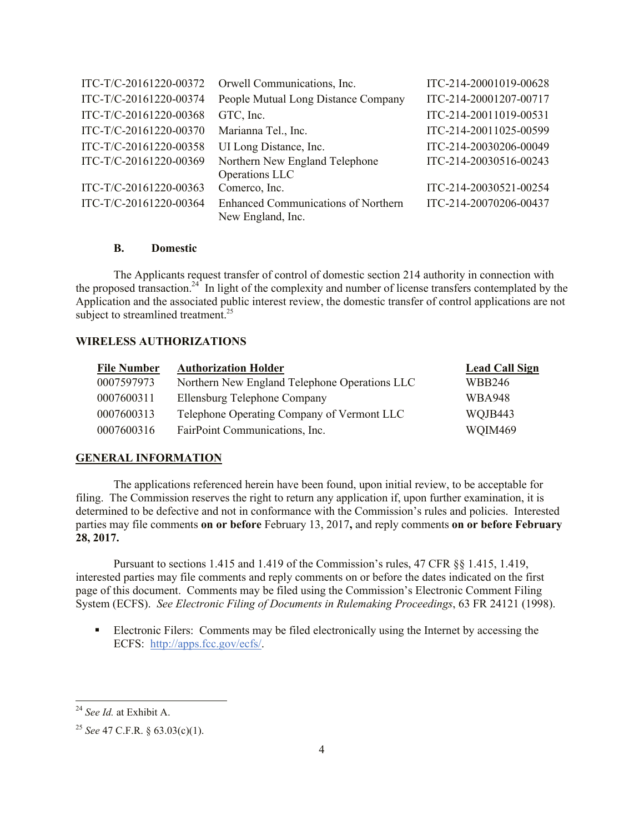| ITC-T/C-20161220-00372 | Orwell Communications, Inc.                                     | ITC-214-20001019-00628 |
|------------------------|-----------------------------------------------------------------|------------------------|
| ITC-T/C-20161220-00374 | People Mutual Long Distance Company                             | ITC-214-20001207-00717 |
| ITC-T/C-20161220-00368 | GTC, Inc.                                                       | ITC-214-20011019-00531 |
| ITC-T/C-20161220-00370 | Marianna Tel., Inc.                                             | ITC-214-20011025-00599 |
| ITC-T/C-20161220-00358 | UI Long Distance, Inc.                                          | ITC-214-20030206-00049 |
| ITC-T/C-20161220-00369 | Northern New England Telephone<br>Operations LLC                | ITC-214-20030516-00243 |
| ITC-T/C-20161220-00363 | Comerco, Inc.                                                   | ITC-214-20030521-00254 |
| ITC-T/C-20161220-00364 | <b>Enhanced Communications of Northern</b><br>New England, Inc. | ITC-214-20070206-00437 |

### **B. Domestic**

The Applicants request transfer of control of domestic section 214 authority in connection with the proposed transaction.<sup>24</sup> In light of the complexity and number of license transfers contemplated by the Application and the associated public interest review, the domestic transfer of control applications are not subject to streamlined treatment.<sup>25</sup>

### **WIRELESS AUTHORIZATIONS**

| <b>File Number</b> | <b>Authorization Holder</b>                   | <b>Lead Call Sign</b> |
|--------------------|-----------------------------------------------|-----------------------|
| 0007597973         | Northern New England Telephone Operations LLC | WBB246                |
| 0007600311         | Ellensburg Telephone Company                  | <b>WBA948</b>         |
| 0007600313         | Telephone Operating Company of Vermont LLC    | WQJB443               |
| 0007600316         | FairPoint Communications, Inc.                | WQIM469               |

# **GENERAL INFORMATION**

The applications referenced herein have been found, upon initial review, to be acceptable for filing. The Commission reserves the right to return any application if, upon further examination, it is determined to be defective and not in conformance with the Commission's rules and policies. Interested parties may file comments **on or before** February 13, 2017**,** and reply comments **on or before February 28, 2017.**

Pursuant to sections 1.415 and 1.419 of the Commission's rules, 47 CFR §§ 1.415, 1.419, interested parties may file comments and reply comments on or before the dates indicated on the first page of this document. Comments may be filed using the Commission's Electronic Comment Filing System (ECFS). *See Electronic Filing of Documents in Rulemaking Proceedings*, 63 FR 24121 (1998).

 Electronic Filers: Comments may be filed electronically using the Internet by accessing the ECFS: http://apps.fcc.gov/ecfs/.

l

<sup>24</sup> *See Id.* at Exhibit A.

<sup>25</sup> *See* 47 C.F.R. § 63.03(c)(1).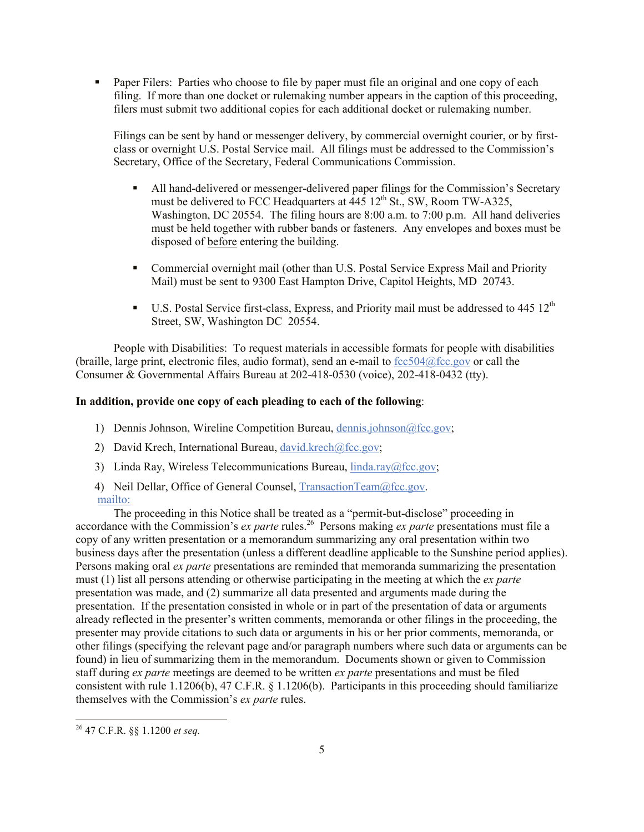Paper Filers: Parties who choose to file by paper must file an original and one copy of each filing. If more than one docket or rulemaking number appears in the caption of this proceeding, filers must submit two additional copies for each additional docket or rulemaking number.

Filings can be sent by hand or messenger delivery, by commercial overnight courier, or by firstclass or overnight U.S. Postal Service mail. All filings must be addressed to the Commission's Secretary, Office of the Secretary, Federal Communications Commission.

- All hand-delivered or messenger-delivered paper filings for the Commission's Secretary must be delivered to FCC Headquarters at  $445 \times 12^{th}$  St., SW, Room TW-A325, Washington, DC 20554. The filing hours are 8:00 a.m. to 7:00 p.m. All hand deliveries must be held together with rubber bands or fasteners. Any envelopes and boxes must be disposed of before entering the building.
- Commercial overnight mail (other than U.S. Postal Service Express Mail and Priority Mail) must be sent to 9300 East Hampton Drive, Capitol Heights, MD 20743.
- $\blacksquare$  U.S. Postal Service first-class, Express, and Priority mail must be addressed to 445 12<sup>th</sup> Street, SW, Washington DC 20554.

People with Disabilities: To request materials in accessible formats for people with disabilities (braille, large print, electronic files, audio format), send an e-mail to  $fcc504@$ fcc.gov or call the Consumer & Governmental Affairs Bureau at 202-418-0530 (voice), 202-418-0432 (tty).

# **In addition, provide one copy of each pleading to each of the following**:

- 1) Dennis Johnson, Wireline Competition Bureau, dennis.johnson@fcc.gov;
- 2) David Krech, International Bureau, david.krech@fcc.gov;
- 3) Linda Ray, Wireless Telecommunications Bureau, linda.ray@fcc.gov;
- 4) Neil Dellar, Office of General Counsel, TransactionTeam@fcc.gov. mailto:

The proceeding in this Notice shall be treated as a "permit-but-disclose" proceeding in accordance with the Commission's *ex parte* rules.<sup>26</sup> Persons making *ex parte* presentations must file a copy of any written presentation or a memorandum summarizing any oral presentation within two business days after the presentation (unless a different deadline applicable to the Sunshine period applies). Persons making oral *ex parte* presentations are reminded that memoranda summarizing the presentation must (1) list all persons attending or otherwise participating in the meeting at which the *ex parte*  presentation was made, and (2) summarize all data presented and arguments made during the presentation. If the presentation consisted in whole or in part of the presentation of data or arguments already reflected in the presenter's written comments, memoranda or other filings in the proceeding, the presenter may provide citations to such data or arguments in his or her prior comments, memoranda, or other filings (specifying the relevant page and/or paragraph numbers where such data or arguments can be found) in lieu of summarizing them in the memorandum. Documents shown or given to Commission staff during *ex parte* meetings are deemed to be written *ex parte* presentations and must be filed consistent with rule 1.1206(b), 47 C.F.R. § 1.1206(b). Participants in this proceeding should familiarize themselves with the Commission's *ex parte* rules.

 $\overline{a}$ 

<sup>26</sup> 47 C.F.R. §§ 1.1200 *et seq.*